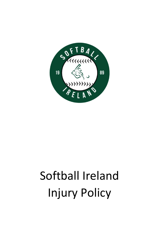

# Softball Ireland Injury Policy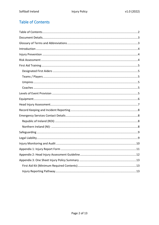# <span id="page-1-0"></span>**Table of Contents**

| 11 |
|----|
|    |
|    |
|    |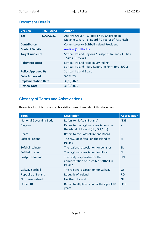## <span id="page-2-0"></span>Document Details

| <b>Version</b>              | <b>Date Issued</b> | <b>Author</b>                                                                                   |  |  |
|-----------------------------|--------------------|-------------------------------------------------------------------------------------------------|--|--|
| 1.0                         | 31/3/2022          | Andrew Craven – SI Board / SU Chairperson<br>Melanie Lavery - SI Board / Director of Fast Pitch |  |  |
| <b>Contributors:</b>        |                    | Colum Lavery - Softball Ireland President                                                       |  |  |
| <b>Contact Details:</b>     |                    | medical@softball.ie                                                                             |  |  |
| <b>Target Audience:</b>     |                    | Softball Ireland Regions / Fastpitch Ireland / Clubs /<br>Teams / Officials                     |  |  |
| <b>Policy Replaces:</b>     |                    | Softball Ireland Head Injury Ruling<br>Softball Ireland Injury Reporting Form (pre-2021)        |  |  |
| <b>Policy Approved By:</b>  |                    | Softball Ireland Board                                                                          |  |  |
| <b>Date Approved:</b>       |                    | 3/2/2022                                                                                        |  |  |
| <b>Implementation Date:</b> |                    | 31/3/2022                                                                                       |  |  |
| <b>Review Date:</b>         |                    | 31/3/2025                                                                                       |  |  |

# <span id="page-2-1"></span>Glossary of Terms and Abbreviations

Below is a list of terms and abbreviations used throughout this document:

| <b>Term</b>                    | <b>Description</b>                                                                        | <b>Abbreviation</b>      |
|--------------------------------|-------------------------------------------------------------------------------------------|--------------------------|
| <b>National Governing Body</b> | Refers to 'Softball Ireland'                                                              | <b>NGB</b>               |
| <b>Regions</b>                 | Refers to the regional associations on<br>the island of Ireland $(SL / SU / GS)$          |                          |
| <b>Board</b>                   | <b>Refers to the Softball Ireland Board</b>                                               | $\overline{\phantom{a}}$ |
| Softball Ireland               | The NGB of softball on the island of<br><b>Ireland</b>                                    | <b>SI</b>                |
| Softball Leinster              | The regional association for Leinster                                                     | <b>SL</b>                |
| <b>Softball Ulster</b>         | The regional association for Ulster                                                       | <b>SU</b>                |
| <b>Fastpitch Ireland</b>       | The body responsible for the<br>administration of Fastpitch Softball in<br><b>Ireland</b> | <b>FPI</b>               |
| <b>Galway Softball</b>         | The regional association for Galway                                                       | GS                       |
| <b>Republic of Ireland</b>     | <b>Republic of Ireland</b>                                                                | <b>ROI</b>               |
| Northern Ireland               | Northern Ireland                                                                          | <b>NI</b>                |
| Under 18                       | Refers to all players under the age of 18<br>years                                        | U18                      |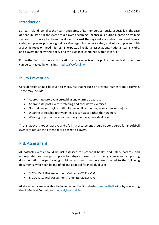## <span id="page-3-0"></span>Introduction

Softball Ireland (SI) takes the health and safety of its members seriously, especially in the case of head injury or in the event of a player becoming unconscious during a game or training session. This policy has been developed to assist the regional associations, national teams, clubs, and players promote good practice regarding general safety and injury to players, with a specific focus on head injuries. SI expects all regional associations, national teams, clubs, and players to follow this policy and the guidance contained within it in full.

For further information, or clarification on any aspects of this policy, the medical committee can be contacted by emailing: [medical@softball.ie.](mailto:medical@softball.ie)

## <span id="page-3-1"></span>Injury Prevention

Consideration should be given to measures that reduce or prevent injuries from occurring. These may include:

- Appropriate pre-event stretching and warm-up exercises
- Appropriate post-event stretching and cool-down exercises
- Not training or playing until fully healed if recovering from a previous injury
- Wearing of suitable footwear i.e. cleats / studs rather than trainers
- Wearing of protective equipment e.g. helmets, face shields, etc.

The list above is not exhaustive and a full risk assessment should be considered for all softball events to reduce the potential risk posed to players.

### <span id="page-3-2"></span>Risk Assessment

All softball events should be risk assessed for potential health and safety hazards, and appropriate measures put in place to mitigate these. For further guidance and supporting documentation on performing a risk assessment, members are directed to the following documents, which can be modified and adapted for individual use:

- SI COVID-19 Risk Assessment Guidance (2021) v1.0
- SI COVID-19 Risk Assessment Template (2021) v1.0

All documents are available to download on the SI website [\(www.sotball.ie\)](http://www.sotball.ie/) or by contacting the SI Medical Committee [\(medical@softball.ie\)](mailto:medical@softball.ie).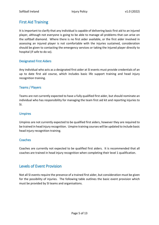## <span id="page-4-0"></span>First Aid Training

It is important to clarify that any individual is capable of delivering basic first aid to an injured player, although not everyone is going to be able to manage all problems that can arise on the softball diamond. Where there is no first aider available, or the first aider involved in assessing an injured player is not comfortable with the injuries sustained, consideration should be given to contacting the emergency services or taking the injured player directly to hospital (if safe to do so).

#### <span id="page-4-1"></span>Designated First Aiders

Any individual who acts as a designated first aider at SI events must provide credentials of an up to date first aid course, which includes basic life support training and head injury recognition training.

#### <span id="page-4-2"></span>Teams / Players

Teams are not currently expected to have a fully qualified first aider, but should nominate an individual who has responsibility for managing the team first aid kit and reporting injuries to SI.

#### <span id="page-4-3"></span>Umpires

Umpires are not currently expected to be qualified first aiders, however they are required to be trained in head injury recognition. Umpire training courses will be updated to include basic head injury recognition training.

#### <span id="page-4-4"></span>**Coaches**

Coaches are currently not expected to be qualified first aiders. It is recommended that all coaches are trained in head injury recognition when completing their level 1 qualification.

## <span id="page-4-5"></span>Levels of Event Provision

Not all SI events require the presence of a trained first aider, but consideration must be given for the possibility of injuries. The following table outlines the basic event provision which must be provided by SI teams and organisations.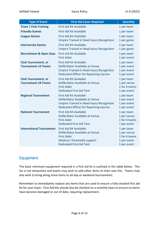| <b>Type of Event</b>                              | <b>First Aid Cover Required</b>                                                                                                                                    | <b>Quantity</b>                                                          |
|---------------------------------------------------|--------------------------------------------------------------------------------------------------------------------------------------------------------------------|--------------------------------------------------------------------------|
| <b>Team / Club Training</b>                       | <b>First Aid Kit Available</b>                                                                                                                                     | 1 per team                                                               |
| <b>Friendly Games</b>                             | <b>First Aid Kit Available</b>                                                                                                                                     | 1 per team                                                               |
| <b>League Games</b>                               | <b>First Aid Kit Available</b><br><b>Umpire Trained in Head Injury Recognition</b>                                                                                 | 1 per team<br>1 per game                                                 |
| <b>Intervarsity Games</b>                         | <b>First Aid Kit Available</b><br>Umpire Trained in Head Injury Recognition                                                                                        | 1 per team<br>1 per game                                                 |
| <b>Recruitment &amp; Open Days</b>                | <b>First Aid Kit Available</b><br><b>First Aider</b>                                                                                                               | 1 per team<br>1 per event                                                |
| <b>Club Tournament, or</b><br>Tournament ≥4 Teams | <b>First Aid Kit Available</b><br>Defibrillator Available at Venue<br>Umpire Trained in Head Injury Recognition<br>Dedicated Officer for Reporting Injuries        | 1 per team<br>1 per event<br>1 per event<br>1 per event                  |
| <b>Club Tournament, or</b><br>Tournament ≥8 Teams | <b>First Aid Kit Available</b><br>Defibrillator Available at Venue<br><b>First Aider</b><br><b>Dedicated First Aid Tent</b>                                        | 1 per team<br>1 per venue<br>1 for 6 teams<br>1 per event                |
| <b>Regional Tournament</b>                        | <b>First Aid Kit Available</b><br>Defibrillator Available at Venue<br><b>Umpire Trained in Head Injury Recognition</b><br>Dedicated Officer for Reporting Injuries | 1 per team<br>1 per event<br>1 per event<br>1 per event                  |
| <b>National Tournament</b>                        | <b>First Aid Kit Available</b><br>Defibrillator Available at Venue<br><b>First Aider</b><br><b>Dedicated First Aid Tent</b>                                        | 1 per team<br>1 per venue<br>1 for 6 teams<br>1 per event                |
| <b>International Tournament</b>                   | <b>First Aid Kit Available</b><br>Defibrillator Available at Venue<br><b>First Aider</b><br>Medical / Paramedic support<br><b>Dedicated First Aid Tent</b>         | 1 per team<br>1 per venue<br>1 for 6 teams<br>1 per event<br>1 per event |

## <span id="page-5-0"></span>Equipment

The basic minimum equipment required in a first aid kit is outlined in the table below. This list is not exhaustive and teams may wish to add other items to their own kits. Teams may also wish to bring along more items to all-day or weekend tournaments.

Remember to immediately replace any items that are used to ensure a fully-stocked first aid kit for your team. First Aid kits should also be checked on a monthly basis to ensure no items have become damaged or out of date, requiring replacement.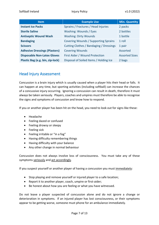| <b>Item</b>                          | <b>Example Use</b>                      | Min. Quantity         |
|--------------------------------------|-----------------------------------------|-----------------------|
| <b>Instant Ice Packs</b>             | Sprains / Fractures / Head Injuries     | 2 packs               |
| <b>Sterile Saline</b>                | Washing: Wounds / Eyes                  | 2 bottles             |
| <b>Antiseptic Wound Wash</b>         | <b>Washing: Dirty Wounds</b>            | 1 bottle              |
| <b>Bandaging</b>                     | Covering Wounds / Supporting Sprains    | 1 roll                |
| <b>Scissors</b>                      | Cutting Clothes / Bandaging / Dressings | 1 pair                |
| <b>Adhesive Dressings (Plasters)</b> | <b>Covering Wounds</b>                  | Assorted              |
| <b>Disposable Non-Latex Gloves</b>   | First Aider / Wound Protection          | <b>Assorted Sizes</b> |
| Plastic Bag (e.g. bin, zip-lock)     | Disposal of Soiled Items / Holding Ice  | 2 bags                |

## <span id="page-6-0"></span>Head Injury Assessment

Concussion is a brain injury which is usually caused when a player hits their head or falls. It can happen at any time, but sporting activities (including softball) can increase the chances of a concussive injury occurring. Ignoring a concussion can result in death, therefore it must always be taken seriously. Players, coaches and umpires must therefore be able to recognise the signs and symptoms of concussion and know how to respond.

If you or another player has been hit on the head, you need to look out for signs like these:

- Headache
- Feeling dazed or confused
- Feeling drowsy or sleepy
- Feeling sick
- Feeling irritable or "in a fog"
- Having difficulty remembering things
- Having difficulty with your balance
- Any other change in normal behaviour

Concussion does not always involve loss of consciousness. You must take any of these symptoms seriously and act accordingly.

If you suspect yourself or another player of having a concussion you must immediately:

- Stop playing and remove yourself or injured player to a safe location;
- Report it to another player, coach, umpire or first-aider;
- Be honest about how you are feeling or what you have witnessed.

Do not leave a player suspected of concussion alone and do not ignore a change or deterioration in symptoms. If an injured player has lost consciousness, or their symptoms appear to be getting worse, someone must phone for an ambulance immediately.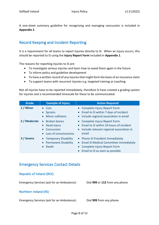A one-sheet summary guideline for recognising and managing concussion is included in **Appendix 2**.

## <span id="page-7-0"></span>Record Keeping and Incident Reporting

It is a requirement for all teams to report injuries directly to SI. When an injury occurs, this should be reported to SI using the **Injury Report Form** included in **Appendix 1**.

The reasons for reporting injuries to SI are:

- To investigate serious injuries and learn how to avoid them again in the future
- To inform policy and guideline development
- To have a written record of any injuries that might form the basis of an insurance claim
- To support teams with recurrent injuries e.g. targeted training or coaching

Not all injuries have to be reported immediately, therefore SI have created a grading system for injuries and a recommended timescale for these to be communicated:

| <b>Grade</b> | <b>Example of Injury</b>                                             | <b>Action Required</b>                                                                                                                         |
|--------------|----------------------------------------------------------------------|------------------------------------------------------------------------------------------------------------------------------------------------|
| 1 / Minor    | Cuts<br><b>Sprains</b><br><b>Minor collisions</b>                    | • Complete Injury Report Form<br>Email to SI within 7 days of incident<br>Include regional association in email                                |
| 2 / Moderate | • Broken bones<br>Head injury<br>Concussion<br>Loss of consciousness | • Complete Injury Report Form<br>• Email to SI within 24 hours of incident<br>• Include relevant regional association in<br>email              |
| 3 / Severe   | • Temporary Disability<br><b>Permanent Disability</b><br>Death       | • Phone SI President Immediately<br>• Email SI Medical Committee Immediately<br>Complete Injury Report Form<br>Email to SI as soon as possible |

## <span id="page-7-1"></span>Emergency Services Contact Details

#### <span id="page-7-2"></span>Republic of Ireland (ROI):

Emergency Services (ask for an Ambulance): Dial **999** or **112** from any phone

#### <span id="page-7-3"></span>Northern Ireland (NI):

Emergency Services (ask for an Ambulance): Dial **999** from any phone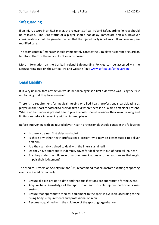## <span id="page-8-0"></span>Safeguarding

If an injury occurs in an U18 player, the relevant Softball Ireland Safeguarding Policies should be followed. The U18 status of a player should not delay immediate first aid, however consideration should be given to the fact that the injured party is not an adult and may require modified care.

The team captain / manager should immediately contact the U18 player's parent or guardian to inform them of the injury (if not already present).

More information on the Softball Ireland Safeguarding Policies can be accessed via the Safeguarding Hub on the Softball Ireland website (link: [www.softball.ie/safeguarding\)](http://www.softball.ie/safeguarding).

## <span id="page-8-1"></span>Legal Liability

It is very unlikely that any action would be taken against a first aider who was using the first aid training that they have received.

There is no requirement for medical, nursing or allied health professionals participating as players in the sport of softball to provide first aid where there is a qualified first aider present. Where no first aider is present health professionals should consider their own training and limitations before intervening with an injured player.

Before intervening with an injured player, health professionals should consider the following:

- Is there a trained first aider available?
- Is there any other heath professionals present who may be better suited to deliver first aid?
- Are they suitably trained to deal with the injury sustained?
- Do they have appropriate indemnity cover for dealing with out of hospital injuries?
- Are they under the influence of alcohol, medications or other substances that might impair their judgement?

The Medical Protection Society (Ireland/UK) recommend that all doctors assisting at sporting events in a medical capacity:

- Ensure all skills are up-to-date and that qualifications are appropriate for the event.
- Acquire basic knowledge of the sport, risks and possible injuries participants may sustain.
- Ensure that appropriate medical equipment to the sport is available according to the ruling body's requirements and professional opinion.
- Become acquainted with the guidance of the sporting organisation.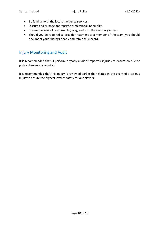- Be familiar with the local emergency services.
- Discuss and arrange appropriate professional indemnity.
- Ensure the level of responsibility is agreed with the event organisers.
- Should you be required to provide treatment to a member of the team, you should document your findings clearly and retain this record.

## <span id="page-9-0"></span>Injury Monitoring and Audit

It is recommended that SI perform a yearly audit of reported injuries to ensure no rule or policy changes are required.

It is recommended that this policy is reviewed earlier than stated in the event of a serious injury to ensure the highest level of safety for our players.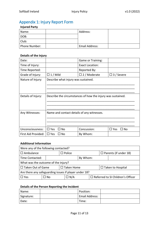# <span id="page-10-0"></span>Appendix 1: Injury Report Form

#### **Injured Party**

| Name:         | Address:       |  |
|---------------|----------------|--|
| DOB:          |                |  |
| Club:         |                |  |
| Phone Number: | Email Address: |  |

#### **Details of the Injury**

| Date:               |                                                             | Game or Training:      |                       |
|---------------------|-------------------------------------------------------------|------------------------|-----------------------|
| Time of Injury:     |                                                             | <b>Exact Location:</b> |                       |
| Time Reported:      |                                                             | Reported By:           |                       |
| Grade of Injury:    | $\Box$ 1 / Mild                                             | $\Box$ 2 / Moderate    | $\Box$ 3 / Severe     |
| Nature of Injury:   | Describe what injury was sustained.                         |                        |                       |
|                     |                                                             |                        |                       |
|                     |                                                             |                        |                       |
|                     |                                                             |                        |                       |
| Details of Injury:  | Describe the circumstances of how the injury was sustained. |                        |                       |
|                     |                                                             |                        |                       |
|                     |                                                             |                        |                       |
| Any Witnesses:      | Name and contact details of any witnesses.                  |                        |                       |
|                     |                                                             |                        |                       |
|                     |                                                             |                        |                       |
|                     |                                                             |                        |                       |
| Unconsciousness:    | $\Box$ Yes<br>□ No                                          | Concussion:            | $\square$ Yes<br>□ No |
| First Aid Provided: | $\Box$ Yes<br>$\square$ No                                  | By Whom:               |                       |

#### **Additional Information**

| Were any of the following contacted?                  |      |                                                        |  |                              |  |  |
|-------------------------------------------------------|------|--------------------------------------------------------|--|------------------------------|--|--|
| $\Box$ Ambulance                                      |      | $\Box$ Police                                          |  | $\Box$ Parents (if under 18) |  |  |
| Time Contacted:                                       |      |                                                        |  | By Whom:                     |  |  |
| What was the outcome of the injury?                   |      |                                                        |  |                              |  |  |
| $\Box$ Taken Out of Game                              |      | $\Box$ Taken Home                                      |  | $\Box$ Taken to Hospital     |  |  |
| Are there any safeguarding issues if player under 18? |      |                                                        |  |                              |  |  |
| $\Box$ Yes                                            | ⊐ No | $\Box$ N/A<br>$\Box$ Referred to SI Children's Officer |  |                              |  |  |

#### **Details of the Person Reporting the Incident**

| Name:      | Position:      |  |
|------------|----------------|--|
| Signature: | Email Address: |  |
| Date:      | Time:          |  |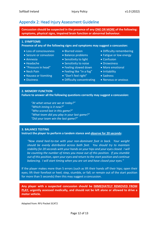# <span id="page-11-0"></span>Appendix 2: Head Injury Assessment Guideline

**Concussion should be suspected in the presence of any ONE OR MORE of the following: symptoms, physical signs, impaired brain function or abnormal behaviour.**

**Presence of any of the following signs and symptoms may suggest a concussion:**

- Loss of consciousness
- Seizure or convulsion
- Amnesia
- Headache
- "Pressure in head"
- Neck Pain
- Nausea or Vomiting
- Dizziness
- Blurred vision
- Balance problems
- Sensitivity to light
- Sensitivity to noise
- Feeling slowed down
- Feeling like "in a fog"
- "Don't feel right"
- Difficulty concentrating
- Difficulty remembering
- Fatigue or low energy
- Confusion
- Drowsiness
- More emotional
- Irritability
- Sadness
- Nervous or anxious

#### **2. MEMORY FUNCTION**

**Failure to answer all the following questions correctly may suggest a concussion:**

*"At what venue are we at today?" "Which inning is it now?" "Who scored last in this game?" "What team did you play in your last game?" "Did your team win the last game?"*

#### **3. BALANCE TESTING**

**Instruct the player to perform a tandem stance and observe for 20 seconds:** 

*"Now stand heel-to-toe with your non-dominant foot in back. Your weight should be evenly distributed across both feet. You should try to maintain stability for 20 seconds with your hands on your hips and your eyes closed. I will be counting the number of times you move out of this position. If you stumble out of this position, open your eyes and return to the start position and continue balancing. I will start timing when you are set and have closed your eyes."*

If the player makes more than 5 errors (such as lift their hands off their hips; open their eyes; lift their forefoot or heel; step, stumble, or fall; or remain out of the start position for more than 5 seconds) then this may suggest a concussion.

**Any player with a suspected concussion should be IMMEDIATELY REMOVED FROM PLAY, urgently assessed medically, and should not be left alone or allowed to drive a motor vehicle.**

Adapted from: RFU Pocket SCAT2